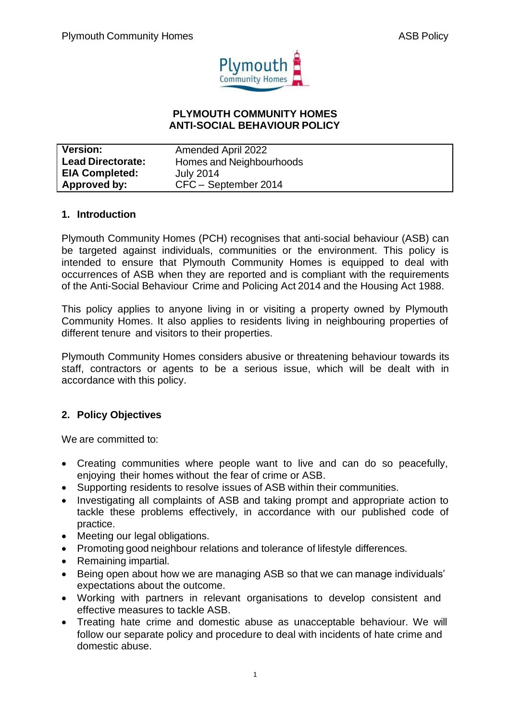

### **PLYMOUTH COMMUNITY HOMES ANTI-SOCIAL BEHAVIOUR POLICY**

| <b>Version:</b>          | Amended April 2022       |
|--------------------------|--------------------------|
| <b>Lead Directorate:</b> | Homes and Neighbourhoods |
| <b>EIA Completed:</b>    | <b>July 2014</b>         |
| Approved by:             | CFC - September 2014     |

### **1. Introduction**

Plymouth Community Homes (PCH) recognises that anti-social behaviour (ASB) can be targeted against individuals, communities or the environment. This policy is intended to ensure that Plymouth Community Homes is equipped to deal with occurrences of ASB when they are reported and is compliant with the requirements of the Anti-Social Behaviour Crime and Policing Act 2014 and the Housing Act 1988.

This policy applies to anyone living in or visiting a property owned by Plymouth Community Homes. It also applies to residents living in neighbouring properties of different tenure and visitors to their properties.

Plymouth Community Homes considers abusive or threatening behaviour towards its staff, contractors or agents to be a serious issue, which will be dealt with in accordance with this policy.

## **2. Policy Objectives**

We are committed to:

- Creating communities where people want to live and can do so peacefully, enjoying their homes without the fear of crime or ASB.
- Supporting residents to resolve issues of ASB within their communities.
- Investigating all complaints of ASB and taking prompt and appropriate action to tackle these problems effectively, in accordance with our published code of practice.
- Meeting our legal obligations.
- Promoting good neighbour relations and tolerance of lifestyle differences.
- Remaining impartial.
- Being open about how we are managing ASB so that we can manage individuals' expectations about the outcome.
- Working with partners in relevant organisations to develop consistent and effective measures to tackle ASB.
- Treating hate crime and domestic abuse as unacceptable behaviour. We will follow our separate policy and procedure to deal with incidents of hate crime and domestic abuse.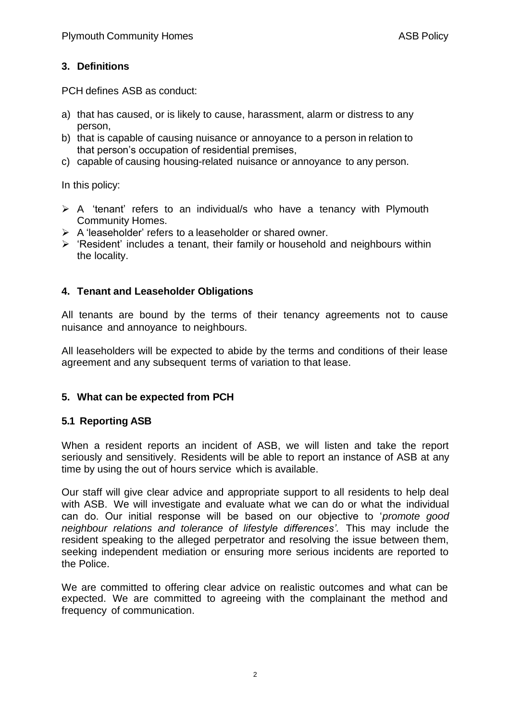# **3. Definitions**

PCH defines ASB as conduct:

- a) that has caused, or is likely to cause, harassment, alarm or distress to any person,
- b) that is capable of causing nuisance or annoyance to a person in relation to that person's occupation of residential premises,
- c) capable of causing housing-related nuisance or annoyance to any person.

In this policy:

- ➢ A 'tenant' refers to an individual/s who have a tenancy with Plymouth Community Homes.
- ➢ A 'leaseholder' refers to a leaseholder or shared owner.
- ➢ 'Resident' includes a tenant, their family or household and neighbours within the locality.

## **4. Tenant and Leaseholder Obligations**

All tenants are bound by the terms of their tenancy agreements not to cause nuisance and annoyance to neighbours.

All leaseholders will be expected to abide by the terms and conditions of their lease agreement and any subsequent terms of variation to that lease.

## **5. What can be expected from PCH**

## **5.1 Reporting ASB**

When a resident reports an incident of ASB, we will listen and take the report seriously and sensitively. Residents will be able to report an instance of ASB at any time by using the out of hours service which is available.

Our staff will give clear advice and appropriate support to all residents to help deal with ASB. We will investigate and evaluate what we can do or what the individual can do. Our initial response will be based on our objective to '*promote good neighbour relations and tolerance of lifestyle differences'.* This may include the resident speaking to the alleged perpetrator and resolving the issue between them, seeking independent mediation or ensuring more serious incidents are reported to the Police.

We are committed to offering clear advice on realistic outcomes and what can be expected. We are committed to agreeing with the complainant the method and frequency of communication.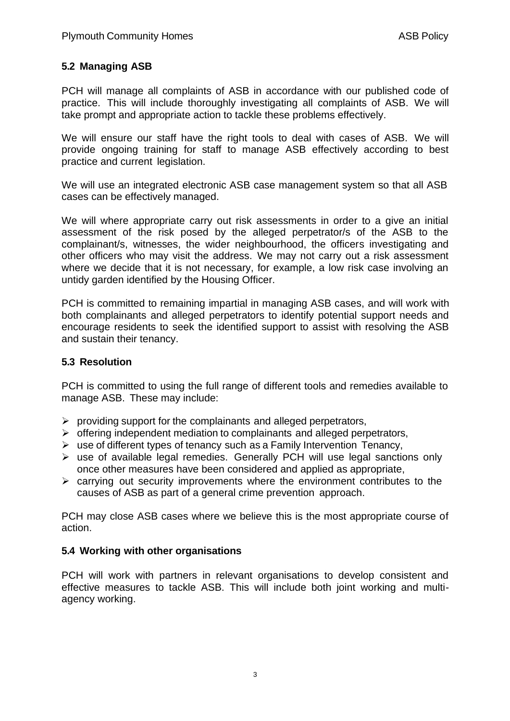# **5.2 Managing ASB**

PCH will manage all complaints of ASB in accordance with our published code of practice. This will include thoroughly investigating all complaints of ASB. We will take prompt and appropriate action to tackle these problems effectively.

We will ensure our staff have the right tools to deal with cases of ASB. We will provide ongoing training for staff to manage ASB effectively according to best practice and current legislation.

We will use an integrated electronic ASB case management system so that all ASB cases can be effectively managed.

We will where appropriate carry out risk assessments in order to a give an initial assessment of the risk posed by the alleged perpetrator/s of the ASB to the complainant/s, witnesses, the wider neighbourhood, the officers investigating and other officers who may visit the address. We may not carry out a risk assessment where we decide that it is not necessary, for example, a low risk case involving an untidy garden identified by the Housing Officer.

PCH is committed to remaining impartial in managing ASB cases, and will work with both complainants and alleged perpetrators to identify potential support needs and encourage residents to seek the identified support to assist with resolving the ASB and sustain their tenancy.

### **5.3 Resolution**

PCH is committed to using the full range of different tools and remedies available to manage ASB. These may include:

- $\triangleright$  providing support for the complainants and alleged perpetrators,
- ➢ offering independent mediation to complainants and alleged perpetrators,
- $\triangleright$  use of different types of tenancy such as a Family Intervention Tenancy,
- ➢ use of available legal remedies. Generally PCH will use legal sanctions only once other measures have been considered and applied as appropriate,
- ➢ carrying out security improvements where the environment contributes to the causes of ASB as part of a general crime prevention approach.

PCH may close ASB cases where we believe this is the most appropriate course of action.

## **5.4 Working with other organisations**

PCH will work with partners in relevant organisations to develop consistent and effective measures to tackle ASB. This will include both joint working and multiagency working.